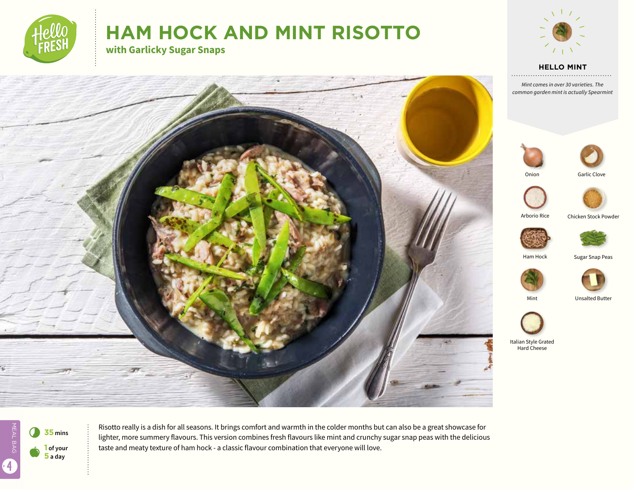

# **HAM HOCK AND MINT RISOTTO**

**with Garlicky Sugar Snaps**



**HELLO MINT**

*Mint comes in over 30 varieties. The common garden mint is actually Spearmint*





Onion





Arborio Rice

Chicken Stock Powder





Sugar Snap Peas





Mint Unsalted Butter



Italian Style Grated Hard Cheese



MEAL BAG 4  $\bullet$ **5 a day**



Risotto really is a dish for all seasons. It brings comfort and warmth in the colder months but can also be a great showcase for lighter, more summery flavours. This version combines fresh flavours like mint and crunchy sugar snap peas with the delicious taste and meaty texture of ham hock - a classic flavour combination that everyone will love.